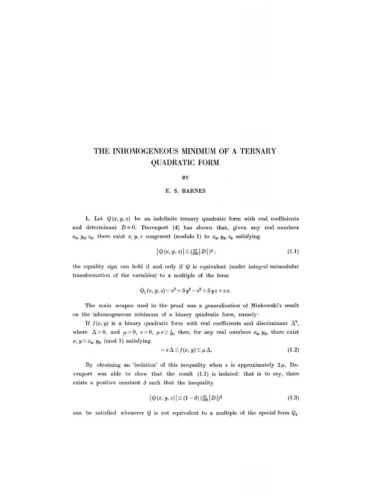# **THE INHOMOGENEOUS MINIMUM OF A TERNARY QUADRATIC FORM**

#### **BY**

## **E. S. BARNES**

1. Let  $Q(x, y, z)$  be an indefinite ternary quadratic form with real coefficients and determinant  $D+0$ . Davenport [4] has shown that, given any real numbers  $x_0, y_0, z_0$ , there exist x, y, z congruent (modulo 1) to  $x_0, y_0, z_0$  satisfying

$$
|Q(x, y, z)| \leq (\frac{27}{100}|D|)^{\frac{1}{3}};
$$
\n(1.1)

the equality sign can hold if and only if  $Q$  is equivalent (under integral unimodular transformation of the variables) to a multiple of the form

$$
Q_1(x, y, z) = x^2 + 5y^2 - z^2 + 5yz + zx.
$$

The main weapon used in the proof was a generalization of Minkowski's result on the inhomogeneous minimum of a binary quadratic form, namely:

If  $f(x, y)$  is a binary quadratic form with real coefficients and discriminant  $\Delta^2$ , where  $\Delta > 0$ , and  $\mu > 0$ ,  $\nu > 0$ ,  $\mu \nu \ge \frac{1}{16}$ , then, for any real numbers  $x_0, y_0$ , there exist  $x, y \equiv x_0, y_0 \pmod{1}$  satisfying

$$
-\nu\,\Delta\!\leq\!f(x,y)\!\leq\!\mu\,\Delta.\tag{1.2}
$$

By obtaining an 'isolation' of this inequality when  $\nu$  is approximately  $2\mu$ , Davenport was able to show that the result  $(1.1)$  is isolated: that is to say, there exists a positive constant  $\delta$  such that the inequality

$$
|Q(x, y, z)| \le (1 - \delta) \left(\frac{27}{100} |D|\right)^{\frac{1}{3}} \tag{1.3}
$$

can be satisfied whenever  $Q$  is not equivalent to a multiple of the special form  $Q_1$ .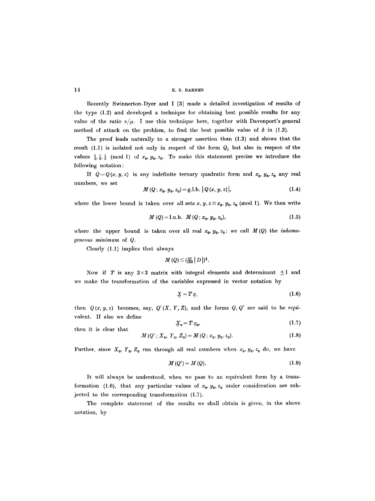**14 E.S. BARNES** 

Recently Swinnerton-Dyer and I [3] made a detailed investigation of results of the type (1.2) and developed a technique for obtaining best possible results for any value of the ratio  $\nu/\mu$ . I use this technique here, together with Davenport's general method of attack on the problem, to find the best possible value of  $\delta$  in (1.3).

The proof leads naturally to a stronger assertion than (1.3) and shows that the result (1.1) is isolated not only in respect of the form  $Q_1$  but also in respect of the values  $\frac{1}{2}$ ,  $\frac{1}{2}$ ,  $\frac{1}{2}$  (mod 1) of  $x_0$ ,  $y_0$ ,  $z_0$ . To make this statement precise we introduce the following notation :

If  $Q = Q(x, y, z)$  is any indefinite ternary quadratic form and  $x_0, y_0, z_0$  any real numbers, we set

$$
M(Q; x_0, y_0, z_0) = g.l.b. |Q(x, y, z)|,
$$
\n(1.4)

where the lower bound is taken over all sets x,  $y, z \equiv x_0, y_0, z_0 \pmod{1}$ . We then write

$$
M(Q) = l.u.b. \ M(Q; x_0, y_0, z_0), \tag{1.5}
$$

where the upper bound is taken over all real  $x_0, y_0, z_0$ ; we call  $M(Q)$  the *inhomogeneous minimum* of Q.

Clearly (1.1) implies that always

$$
M(Q) \leq (\tfrac{27}{100} |D|)^{\frac{1}{3}}.
$$

Now if T is any  $3\times3$  matrix with integral elements and determinant  $\pm 1$  and we make the transformation of the variables expressed in vector notation by

$$
\underline{X} = T \underline{x}, \tag{1.6}
$$

then  $Q(x, y, z)$  becomes, say,  $Q'(X, Y, Z)$ , and the forms  $Q, Q'$  are said to be equivalent. If also we define

then it is clear that 
$$
\mathbf{X}_0 = T x_0, \tag{1.7}
$$

$$
M(Q'; X_0, Y_0, Z_0) = M(Q; x_0, y_0, z_0).
$$
 (1.8)

Further, since  $X_0$ ,  $Y_0$ ,  $Z_0$  run through all real numbers when  $x_0$ ,  $y_0$ ,  $z_0$  do, we have

$$
M(Q') = M(Q). \tag{1.9}
$$

It will always be understood, when we pass to an equivalent form by a transformation (1.6), that any particular values of  $x_0, y_0, z_0$  under consideration are subjected to the corresponding transformation (1.7).

The complete statement of the results we shall obtain is given, in the above notation, by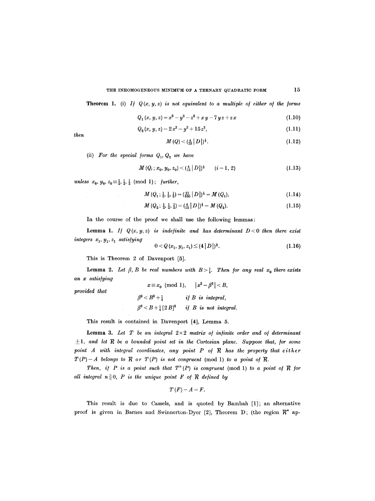#### THE INHOMOGENEOUS MINIMUM OF A TERNARY QUADRATIC FORM  $15$

**Theorem 1.** (i) *If*  $Q(x, y, z)$  is not equivalent to a multiple of either of the forms

$$
Q_1(x, y, z) = x^2 - y^2 - z^2 + xy - 7yz + zx \qquad (1.10)
$$

$$
Q_2(x, y, z) = 2x^2 - y^2 + 15z^2,
$$
\n(1.11)

*then* 

$$
M(Q) < \left(\frac{4}{15} \left| D \right| \right)^{\frac{1}{3}}.\tag{1.12}
$$

(ii) For the special forms  $Q_1, Q_2$  we have

$$
M(Q_i; x_0, y_0, z_0) < (\frac{4}{15} |D|)^{\frac{1}{3}} \qquad (i = 1, 2)
$$
 (1.13)

*unless*  $x_0, y_0, z_0 \equiv \frac{1}{2}, \frac{1}{2}, \frac{1}{2} \pmod{1}$ ; *further*,

$$
M(Q_1; \frac{1}{2}, \frac{1}{2}, \frac{1}{2}) = (\frac{27}{100} |D|)^{\frac{1}{3}} = M(Q_1), \tag{1.14}
$$

$$
M(Q_2; \frac{1}{2}, \frac{1}{2}, \frac{1}{2}) = (\frac{4}{15} |D|)^{\frac{1}{3}} = M(Q_2).
$$
 (1.15)

In the course of the proof we shall use the following lemmas:

Lemma 1. If  $Q(x, y, z)$  is indefinite and has determinant  $D < 0$  then there exist *integers*  $x_1, y_1, z_1$  *satisfying* 

$$
0 < Q(x_1, y_1, z_1) \le (4 |D|)^{\frac{1}{3}}.
$$
\n(1.16)

This is Theorem 2 of Davenport [5].

**Lemma 2.** Let  $\beta$ , B be real numbers with  $B > \frac{1}{4}$ . Then for any real  $x_0$  there exists *an x satis/ying*   $x \equiv x_0 \pmod{1}$ ,  $|x^2 - \beta^2| < B$ ,

*provided that* 

 $\beta^2 < B^2 + \frac{1}{4}$  if B is integral,  $\beta^2 < B + \frac{1}{4} [2 B]^2$  *if B is not integral.* 

This result is contained in Davenport [4], Lemma 5.

**Lemma 3.** Let  $T$  be an integral  $2 \times 2$  matrix of infinite order and of determinant  $\pm 1$ , and let  $R$  be a bounded point set in the Cartesian plane. Suppose that, for some point A with integral coordinates, any point P of R has the property that either  $T(P)-A$  belongs to  $R$  or  $T(P)$  is not congruent (mod 1) to a point of  $R$ .

*Then, if P is a point such that*  $T^n(P)$  *is congruent* (mod 1) *to a point of*  $R$  *for all integral*  $n \geq 0$ *, P is the unique point F of R defined by* 

$$
T(F)-A=F.
$$

This result is due to Cassels, and is quoted by Bambah [1]; an alternative proof is given in Barnes and Swinnerton-Dyer [2], Theorem D; (the region  $\mathbb{R}^*$  ap-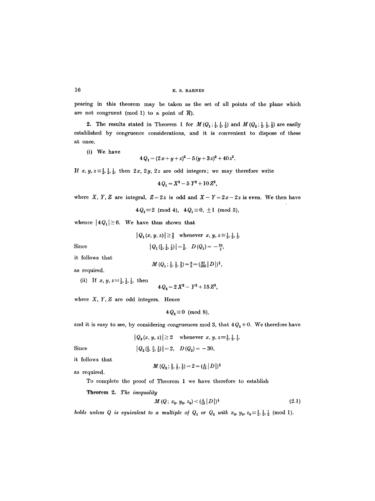pearing in this theorem may be taken as the set of all points of the plane which are not congruent (mod 1) to a point of  $R$ ).

2. The results stated in Theorem 1 for  $M(Q_1; \frac{1}{2}, \frac{1}{2}, \frac{1}{2})$  and  $M(Q_2; \frac{1}{2}, \frac{1}{2}, \frac{1}{2})$  are easily established by congruence considerations, and it is convenient to dispose of these at once.

(i) We have

$$
4Q_1 = (2x+y+z)^2 - 5(y+3z)^2 + 40z^2.
$$

If  $x, y, z \equiv \frac{1}{2}, \frac{1}{2}, \frac{1}{2}$ , then  $2x, 2y, 2z$  are odd integers; we may therefore write

$$
4Q_1 = X^2 - 5Y^2 + 10Z^2,
$$

where X, Y, Z are integral,  $Z=2z$  is odd and  $X-Y=2x-2z$  is even. We then have

 $4Q_1 \equiv 2 \pmod{4}$ ,  $4Q_1 \equiv 0, \pm 1 \pmod{5}$ ,

whence  $|4Q_1|\geq 6$ . We have thus shown that

$$
|Q_1(x, y, z)| \geq \frac{3}{2}
$$
 whenever  $x, y, z \equiv \frac{1}{2}, \frac{1}{2}, \frac{1}{2}$ .

Since

$$
|Q_1(\tfrac{1}{2},\tfrac{1}{2},\tfrac{1}{2})|=\tfrac{3}{2},\quad D(Q_1)=-\tfrac{25}{2},
$$

it follows that

$$
M(Q_1; \frac{1}{2}, \frac{1}{2}, \frac{1}{2}) = \frac{3}{2} = (\frac{27}{100} |D|)^{\frac{1}{3}},
$$

as required.

(ii) If 
$$
x, y, z \equiv \frac{1}{2}, \frac{1}{2}, \frac{1}{2}
$$
, then

 $4Q_2 = 2X^2 - Y^2 + 15Z^2$ 

where *X, Y, Z* are odd integers. Hence

$$
4Q_2 \equiv 0 \pmod{8},
$$

and it is easy to see, by considering congruences mod 3, that  $4Q_2+0$ . We therefore have

$$
|Q_2(x, y, z)| \geq 2 \quad \text{whenever} \ x, y, z \equiv \frac{1}{2}, \frac{1}{2}, \frac{1}{2}.
$$

Since 
$$
|Q_2(\frac{1}{2}, \frac{5}{2}, \frac{1}{2})| = 2, \quad D(Q_2) = -30,
$$

it follows that

as required.

$$
M\left(Q_2\,;\,\tfrac{1}{2},\,\tfrac{1}{2},\,\tfrac{1}{2}\right)=2=(\tfrac{4}{15}\,\big|\,D\,\big|\,)^{\frac{1}{3}}
$$

To complete the proof of Theorem 1 we have therefore to establish

Theorem 2. *The inequality* 

$$
M(Q; x_0, y_0, z_0) < \left(\frac{4}{15} \left| D \right| \right)^{\frac{1}{3}} \tag{2.1}
$$

*holds unless Q is equivalent to a multiple of*  $Q_1$  *or*  $Q_2$  *with*  $x_0, y_0, z_0 \equiv \frac{1}{2}, \frac{1}{2}, \frac{1}{2}$  *(mod 1).*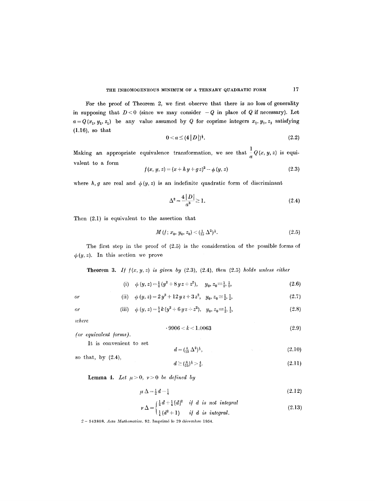For the proof of Theorem 2, we first observe that there is no loss of generality in supposing that  $D < 0$  (since we may consider  $-Q$  in place of Q if necessary). Let  $a = Q(x_1, y_1, z_1)$  be any value assumed by Q for coprime integers  $x_1, y_1, z_1$  satisfying (1.16), so that

$$
0 < a \le (4 |D|)^{\frac{1}{3}}.\tag{2.2}
$$

Making an appropriate equivalence transformation, we see that  $\frac{1}{a}Q(x, y, z)$  is equivalent to a form

$$
f(x, y, z) = (x + h y + g z)^{2} - \phi (y, z)
$$
\n(2.3)

where h, g are real and  $\phi(y, z)$  is an indefinite quadratic form of discriminant

$$
\Delta^2 = \frac{4|D|}{a^3} \ge 1.
$$
 (2.4)

Then (2.1) is equivalent to the assertion that

$$
M(t; x_0, y_0, z_0) < (\frac{1}{15} \Delta^2)^{\frac{1}{3}}.\tag{2.5}
$$

The first step in the proof of (2.5) is the consideration of the possible forms of  $\phi(y, z)$ . In this section we prove

Theorem 3. *I/ /(x, y, z) is given by* (2.3), (2.4), *then* (2.5) *holds unless either* 

(i) 
$$
\phi(y, z) = \frac{1}{2}(y^2 + 8yz + z^2), \quad y_0, z_0 \equiv \frac{1}{2}, \frac{1}{2},
$$
 (2.6)

(ii) 
$$
\phi(y, z) = 2y^2 + 12yz + 3z^2
$$
,  $y_0, z_0 \equiv \frac{1}{2}, \frac{1}{2}$ , (2.7)

(iii) 
$$
\phi(y, z) = \frac{5}{4}k(y^2 + 6yz + z^2), y_0, z_0 = \frac{1}{2}, \frac{1}{2},
$$
 (2.8)

*where* 

*Or* 

*or* 

$$
-9906 < k < 1.0063\tag{2.9}
$$

*(or equivalent forms).* 

It is convenient to set 
$$
d = \left(\frac{8}{15} \Delta^2\right)^{\frac{1}{3}},\tag{2.10}
$$

so that, by (2.4),  

$$
d \ge (\frac{8}{15})^{\frac{1}{3}} > \frac{4}{5}.
$$
 (2.11)

$$
f_{\mathcal{A}}(x)=\left\{f_{\mathcal{A}}(x)=f_{\mathcal{A}}(x)=f_{\mathcal{A}}(x)=f_{\mathcal{A}}(x)=f_{\mathcal{A}}(x)=f_{\mathcal{A}}(x)=f_{\mathcal{A}}(x)=f_{\mathcal{A}}(x)=f_{\mathcal{A}}(x)=f_{\mathcal{A}}(x)=f_{\mathcal{A}}(x)=f_{\mathcal{A}}(x)=f_{\mathcal{A}}(x)=f_{\mathcal{A}}(x)=f_{\mathcal{A}}(x)=f_{\mathcal{A}}(x)=f_{\mathcal{A}}(x)=f_{\mathcal{A}}(x)=f_{\mathcal{A}}(x)=f_{\mathcal{A}}(x)=f_{\mathcal{A}}(x)=f_{\mathcal{A}}(x)=f_{\mathcal{A}}(x)=f_{\mathcal{A}}(x)=f_{\mathcal{A}}(x)=f_{\mathcal{A}}(x)=f_{\mathcal{A}}(x)=f_{\mathcal{A}}(x)=f_{\mathcal{A}}(x)=f_{\mathcal{A}}(x)=f_{\mathcal{A}}(x)=f_{\mathcal{A}}(x)=f_{\mathcal{A}}(x)=f_{\mathcal{A}}(x)=f_{\mathcal{A}}(x)=f_{\mathcal{A}}(x)=f_{\mathcal{A}}(x)=f_{\mathcal{A}}(x)=f_{\mathcal{A}}(x)=f_{\mathcal{A}}(x)=f_{\mathcal{A}}(x)=f_{\mathcal{A}}(x)=f_{\mathcal{A}}(x)=f_{\mathcal{A}}(x)=f_{\mathcal{A}}(x)=f_{\mathcal{A}}(x)=f_{\mathcal{A}}(x)=f_{\mathcal{A}}(x)=f_{\mathcal{A}}(x)=f_{\mathcal{A}}(x)=f_{\mathcal{A}}(x)=f_{\mathcal{A}}(x)=f_{\mathcal{A}}(x)=f_{\mathcal{A}}(x)=f_{\mathcal{A}}(x)=f_{\mathcal{A}}(x)=f_{\mathcal{A}}(x)=f_{\mathcal{A}}(x)=f_{\mathcal{A}}(x)=f_{\mathcal{A}}(x)=f_{\mathcal{A}}(x)=f_{\mathcal{A}}(x)=f_{\mathcal{A}}(x)=f_{\mathcal{A}}(x)=f_{\mathcal{A}}(x)=f_{\mathcal{A}}(x)=f_{\mathcal{A}}(x)=f_{\mathcal{A
$$

**Lemma 4.** Let  $\mu > 0$ ,  $\nu > 0$  be defined by

$$
\mu \Delta = \frac{1}{2}d - \frac{1}{4} \tag{2.12}
$$

$$
\nu \Delta = \begin{cases} \frac{1}{2}d + \frac{1}{4}[d]^2 & \text{if } d \text{ is not integral} \\ \frac{1}{4}(d^2 + 1) & \text{if } d \text{ is integral.} \end{cases}
$$
 (2.13)

2-- 543808. *Acta B1athematica.* 92. lmprim6 le 29 ddeembre 1954.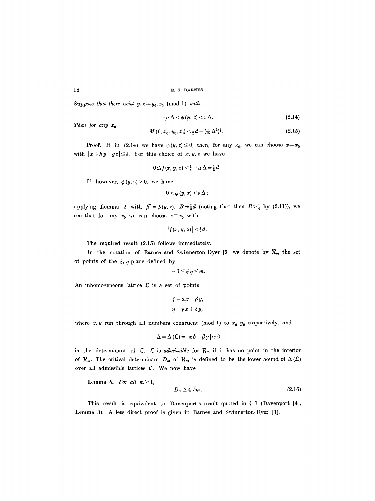*Suppose that there exist y,*  $z \equiv y_0, z_0 \pmod{1}$  *with* 

$$
-\mu\,\Delta<\phi\,(y,\,z)<\nu\,\Delta.\tag{2.14}
$$

*Then for any*  $x_0$ 

$$
M(f; x_0, y_0, z_0) < \frac{1}{2}d = (\frac{1}{15} \Delta^2)^{\frac{1}{3}}.
$$
 (2.15)

**Proof.** If in (2.14) we have  $\phi(y, z) \leq 0$ , then, for any  $x_0$ , we can choose  $x \equiv x_0$ with  $|x+hy+gz|\leq \frac{1}{2}$ . For this choice of x, y, z we have

$$
0\leq f(x, y, z)<\tfrac{1}{4}+\mu \Delta=\tfrac{1}{2}d.
$$

If, however,  $\phi(y, z) > 0$ , we have

$$
0<\phi\left( y,z\right) <\nu\,\Delta\,;
$$

applying Lemma 2 with  $\beta^2 = \phi(y, z)$ ,  $B = \frac{1}{2}d$  (noting that then  $B > \frac{1}{4}$  by (2.11)), we see that for any  $x_0$  we can choose  $x \equiv x_0$  with

$$
|f(x, y, z)| < \frac{1}{2}d.
$$

The required result (2.15) follows immediately.

In the notation of Barnes and Swinnerton-Dyer [3] we denote by  $\mathcal{R}_m$  the set of points of the  $\xi$ ,  $\eta$ -plane defined by

$$
-1\leq \xi\,\eta\leq m.
$$

An inhomogeneous lattice  $\mathcal L$  is a set of points

$$
\xi = \alpha x + \beta y,
$$
  

$$
\eta = \gamma x + \delta y,
$$

where  $x, y$  run through all numbers congruent (mod 1) to  $x_0, y_0$  respectively, and

$$
\Delta = \Delta (\mathcal{L}) = |\alpha \delta - \beta \gamma| + 0
$$

is the determinant of  $\mathcal{L}$ .  $\mathcal{L}$  is *admissible* for  $\mathcal{R}_m$  if it has no point in the interior of  $R_m$ . The critical determinant  $D_m$  of  $R_m$  is defined to be the lower bound of  $\Delta(\mathcal{L})$ over all admissible lattices E. We now have

Lemma 5. For all  $m \geq 1$ ,

$$
D_m \geq 4 \sqrt{m} \,. \tag{2.16}
$$

This result is equivalent to Davenport's result quoted in  $\S$  1 (Davenport [4], Lemma 3). A less direct proof is given in Barnes and Swinnerton-Dyer [3].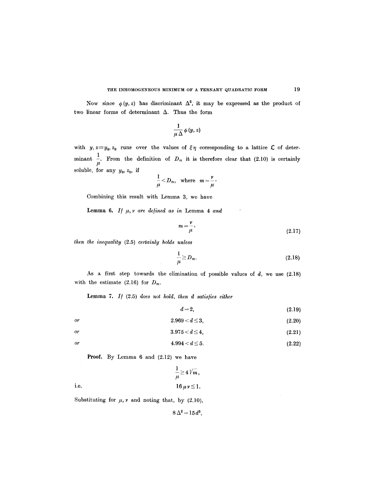Now since  $\phi(y, z)$  has discriminant  $\Delta^2$ , it may be expressed as the product of two linear forms of determinant  $\Delta$ . Thus the form

$$
\frac{1}{\mu\,\Delta}\,\phi\,(y,\,z)
$$

with  $y, z = y_0, z_0$  runs over the values of  $\xi \eta$  corresponding to a lattice  $\mathcal L$  of determinant  $\frac{1}{\mu}$ . From the definition of  $D_m$  it is therefore clear that (2.10) is certainly soluble, for any  $y_0, z_0$ , if

$$
\frac{1}{\mu}
$$

Combining this result with Lemma 3, we have

Lemma 6. If  $\mu$ ,  $\nu$  are defined as in Lemma 4 and

$$
m = \frac{\nu}{\mu},\tag{2.17}
$$

*then the inequality* (2.5) *certainly holds unless* 

$$
\frac{1}{\mu} \ge D_m. \tag{2.18}
$$

As a first step towards the elimination of possible values of *d,* we use (2.18) with the estimate (2.16) for  $D_m$ .

Lemma 7. *I/* (2.5) *does not hold, then d satis/ies either* 

$$
d=2,\tag{2.19}
$$

or 
$$
2.969 < d \le 3
$$
,  $(2.20)$ 

$$
3.975 < d \le 4, \tag{2.21}
$$

or 
$$
4.994 < d \le 5
$$
. (2.22)

Proof. By Lemma 6 and (2.12) we have

i.e. 
$$
\frac{1}{\mu} \ge 4 \sqrt{m},
$$

$$
16 \mu \nu \le 1.
$$

Substituting for  $\mu$ ,  $\nu$  and noting that, by (2.10),

 $8 \Delta^2 = 15 d^3,$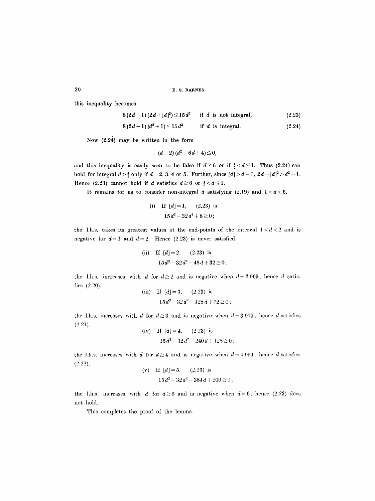20 E.S. BARNES

this inequality becomes

$$
8(2d-1)(2d+[d]^2) \le 15d^3 \quad \text{if } d \text{ is not integral,} \tag{2.23}
$$

$$
8(2d-1)(d^2+1) \le 15d^3 \qquad \text{if } d \text{ is integral.} \tag{2.24}
$$

Now (2.24) may be written in the form

$$
(d-2) (d^2 - 6d + 4) \leq 0,
$$

and this inequality is easily seen to be false if  $d\geq 6$  or if  $\frac{4}{5} < d \leq 1$ . Thus (2.24) can hold for integral  $d > \frac{4}{5}$  only if  $d = 2, 3, 4$  or 5. Further, since  $[d] > d-1$ ,  $2d+[d]^2 > d^2+1$ . Hence (2.23) cannot hold if d satisfies  $d\geq 6$  or  $\frac{4}{5} < d \leq 1$ .

It remains for us to consider non-integral d satisfying  $(2.19)$  and  $1 < d < 6$ .

(i) If 
$$
[d]=1
$$
, (2.23) is  
  $15d^3-32d^2+8\geq 0$ ;

the 1.h.s. takes its greatest values at the end-points of the interval  $1 < d < 2$  and is negative for  $d=1$  and  $d=2$ . Hence (2.23) is never satisfied.

(ii) If 
$$
[d]=2
$$
,  $(2.23)$  is  
 $15d^3 - 32d^2 - 48d + 32 \ge 0$ ;

the 1.h.s. increases with d for  $d \ge 2$  and is negative when  $d=2.969$ ; hence d satisfies (2.20).

(iii) If 
$$
[d]=3
$$
,  $(2.23)$  is  
  $15d^3-32d^2-128d+72\geq 0$ 

the 1.h.s. increases with d for  $d \geq 3$  and is negative when  $d=3.975$ ; hence d satisfies (2.21).

(iv) If 
$$
[d] = 4
$$
,  $(2.23)$  is  
 $15d^3 - 32d^2 - 240d + 128 \ge 0$ ;

the 1.h.s. increases with d for  $d\geq 4$  and is negative when  $d=4.994$ ; hence d satisfies (2.22).

(v) If 
$$
[d] = 5
$$
, (2.23) is  

$$
15d^3 - 32d^2 - 384d + 200 \ge 0;
$$

the 1.h.s. increases with d for  $d \geq 5$  and is negative when  $d=6$ ; hence (2.23) does not hold.

This completes the proof of the lemma.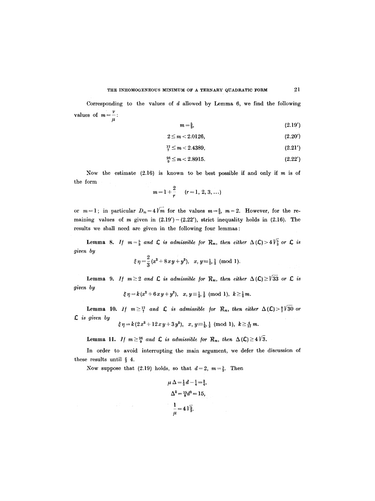Corresponding to the values of  $d$  allowed by Lemma 6, we find the following values of  $m=\frac{\nu}{\mu}$ :

$$
m=\frac{5}{3},\tag{2.19'}
$$

$$
2 \le m < 2.0126,\tag{2.20'}
$$

$$
^{17}_{7} \leq m < 2.4389, \tag{2.21'}
$$

$$
\frac{26}{9} \le m < 2.8915. \tag{2.22'}
$$

Now the estimate  $(2.16)$  is known to be best possible if and only if m is of the form

$$
m=1+\frac{2}{r} \qquad (r=1, 2, 3, \ldots)
$$

or  $m=1$ ; in particular  $D_m=4\sqrt{m}$  for the values  $m=\frac{5}{3}$ ,  $m=2$ . However, for the remaining values of m given in  $(2.19') - (2.22')$ , strict inequality holds in  $(2.16)$ . The results we shall need are given in the following four lemmas:

Lemma 8. If  $m=\frac{5}{3}$  and  $\mathcal L$  is admissible for  $\mathcal R_m$ , then either  $\Delta(\mathcal L)>4\sqrt{\frac{5}{3}}$  or  $\mathcal L$  is *given by* 

$$
\xi \eta = \frac{2}{3} (x^2 + 8xy + y^2), \quad x, y \equiv \frac{1}{2}, \frac{1}{2} \pmod{1}.
$$

Lemma 9. *If*  $m \geq 2$  *and*  $\mathsf C$  *is admissible for*  $\mathcal R_m$ *, then either*  $\Delta \left( \mathsf C \right) \geq \not\parallel 33$  or  $\mathsf C$  *is given by* 

$$
\xi\,\eta\!=\!k\,(x^2\!+6\,x\,y\!+y^2),\ \ x,\,y\!\equiv\!\tfrac{1}{2},\tfrac{1}{2}\pmod 1,\ \, k\!\geq\!\tfrac{1}{2}\,m.
$$

**Lemma 10.** *If*  $m \ge \frac{17}{7}$  and  $\mathcal{L}$  is admissible for  $\mathcal{R}_m$ , then either  $\Delta(\mathcal{L}) > \frac{8}{7}\sqrt{30}$  or *s is given by* 

$$
\xi \eta = k(2x^2 + 12xy + 3y^2), \quad x, y \equiv \frac{1}{2}, \frac{1}{2} \pmod{1}, \quad k \ge \frac{4}{17}m.
$$

**Lemma 11.** *If*  $m \geq \frac{26}{9}$  and  $\mathsf{L}$  is admissible for  $\mathcal{R}_m$ , then  $\Delta(\mathsf{L}) \geq 4\sqrt{3}$ .

In order to avoid interrupting the main argument, we defer the discussion of these results until  $\S$  4.

Now suppose that (2.19) holds, so that  $d=2$ ,  $m=\frac{5}{3}$ . Then

 $\mathcal{A}(\overline{V})$  , where  $\mathcal{A}(\overline{V})$ 

$$
\mu \Delta = \frac{1}{2}d - \frac{1}{4} = \frac{3}{4},
$$
  

$$
\Delta^2 = \frac{15}{8}d^3 = 15,
$$
  

$$
\frac{1}{\mu} = 4\sqrt{\frac{5}{3}}.
$$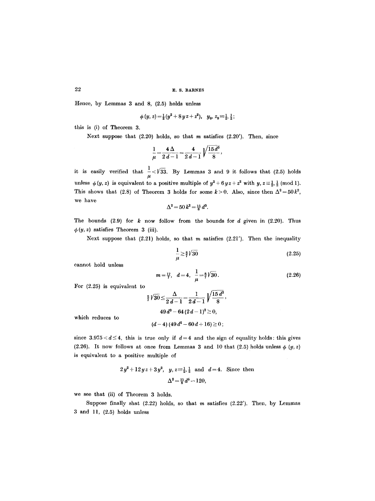Hence, by Lemmas 3 and 8, (2.5) holds unless

$$
\phi(y, z) = \frac{1}{2}(y^2 + 8yz + z^2), \quad y_0, z_0 = \frac{1}{2}, \frac{1}{2};
$$

this is (i) of Theorem 3.

Next suppose that  $(2.20)$  holds, so that m satisfies  $(2.20')$ . Then, since

$$
\frac{1}{\mu} = \frac{4\,\Delta}{2\,d-1} = \frac{4}{2\,d-1}\,\sqrt{\frac{15\,d^3}{8}},
$$

it is easily verified that  $\frac{1}{\mu} < \sqrt{33}$ . By Lemmas 3 and 9 it follows that (2.5) holds unless  $\phi(y, z)$  is equivalent to a positive multiple of  $y^2 + 6 y z + z^2$  with  $y, z \equiv \frac{1}{2}, \frac{1}{2}$  (mod 1). This shows that (2.8) of Theorem 3 holds for some  $k>0$ . Also, since then  $\Delta^2=50k^2$ , we have

$$
\Delta^2 = 50 k^2 = \frac{15}{8} d^3.
$$

The bounds  $(2.9)$  for k now follow from the bounds for d given in  $(2.20)$ . Thus  $\phi(y, z)$  satisfies Theorem 3 (iii).

Next suppose that  $(2.21)$  holds, so that m satisfies  $(2.21')$ . Then the inequality

$$
\frac{1}{\mu} \ge \frac{3}{7} \sqrt{30} \tag{2.25}
$$

cannot hold unless

$$
m = \frac{17}{7}, \quad d = 4, \quad \frac{1}{\mu} = \frac{8}{7}\sqrt{30}.
$$
 (2.26)

For (2.25) is equivalent to

$$
\frac{2}{7}\sqrt{30} \le \frac{\Delta}{2d-1} = \frac{1}{2d-1}\sqrt{\frac{15 d^3}{8}},
$$
  
49 d^3 - 64 (2d-1)<sup>2</sup>  $\ge 0$ ,

which reduces to

$$
(d-4) (49 d2 - 60 d + 16) \geq 0;
$$

since 3.975 <  $d \leq 4$ , this is true only if  $d=4$  and the sign of equality holds: this gives (2.26). It now follows at once from Lemmas 3 and 10 that (2.5) holds unless  $\phi$  (y, z) is equivalent to a positive multiple of

$$
2y^2 + 12yz + 3y^2
$$
,  $y, z = \frac{1}{2}, \frac{1}{2}$  and  $d = 4$ . Since then  

$$
\Delta^2 = \frac{15}{8}d^3 = 120,
$$

we see that (ii) of Theorem 3 holds.

Suppose finally shat  $(2.22)$  holds, so that m satisfies  $(2.22')$ . Then, by Lemmas  $3$  and  $11, (2.5)$  holds unless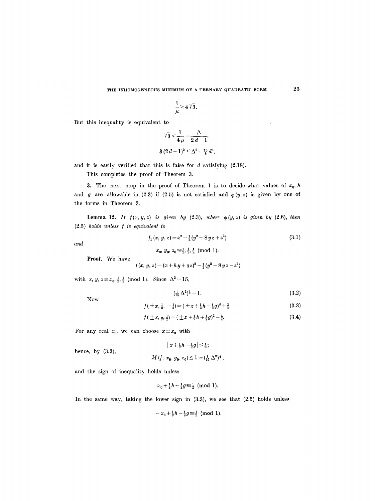$$
\frac{1}{\mu} \geq 4\sqrt{3}.
$$

But this inequality is equivalent to

$$
\sqrt{3} \le \frac{1}{4 \mu} = \frac{\Delta}{2 d - 1},
$$
  
3  $(2d - 1)^2 \le \Delta^2 = \frac{15}{8} d^3,$ 

and it is easily verified that this is false for  $d$  satisfying  $(2.18)$ .

This completes the proof of Theorem 3.

3. The next step in the proof of Theorem 1 is to decide what values of  $x_0$ , h and g are allowable in (2.3) if (2.5) is not satisfied and  $\phi(y, z)$  is given by one of the forms in Theorem 3.

**Lemma 12.** *If*  $f(x, y, z)$  *is given by* (2.3), *where*  $\phi(y, z)$  *is given by* (2.6), *then* (2.5) *holds unless [ is equivalent to* 

$$
f_1(x, y, z) = x^2 - \frac{1}{2}(y^2 + 8 y z + z^2)
$$
\n(3.1)

*and* 

$$
x_0, y_0, z_0 \equiv \frac{1}{2}, \frac{1}{2}, \frac{1}{2}
$$
 (mod 1).

Proof. We have

$$
f(x, y, z) = (x + h y + g z)^2 - \frac{1}{2}(y^2 + 8 y z + z^2)
$$

with  $x, y, z \equiv x_0, \frac{1}{2}, \frac{1}{2} \pmod{1}$ . Since  $\Delta^2 = 15$ ,

:Now

hence, by (3.3),

$$
(\frac{1}{15}\Delta^2)^{\frac{1}{3}} = 1. \tag{3.2}
$$

$$
f(\pm x,\frac{1}{2},-\frac{1}{2})=(\pm x+\frac{1}{2}h-\frac{1}{2}g)^2+\frac{3}{4}, \hspace{1.5cm} (3.3)
$$

$$
f(\pm x, \frac{1}{2}, \frac{1}{2}) = (\pm x + \frac{1}{2}h + \frac{1}{2}g)^2 - \frac{5}{4}.
$$
 (3.4)

For any real  $x_0$ , we can choose  $x \equiv x_0$  with

$$
\begin{array}{c|c} & |x + \frac{1}{2}h - \frac{1}{2}g| \leq \frac{1}{2} \, ; \\[2mm] & M\left(f \, ; \, x_0, \, y_0, \, z_0\right) \leq 1 = (\frac{1}{15} \, \Delta^2)^{\frac{1}{3}} \, ; \end{array}
$$

and the sign of inequality holds unless

$$
x_0+\tfrac{1}{2}h-\tfrac{1}{2}g\equiv \tfrac{1}{2} \pmod{1}.
$$

In the same way, taking the lower sign in (3.3), we see that (2.5) holds unless

$$
-x_0+\tfrac{1}{2}h-\tfrac{1}{2}g\equiv \tfrac{1}{2} \pmod{1}.
$$

23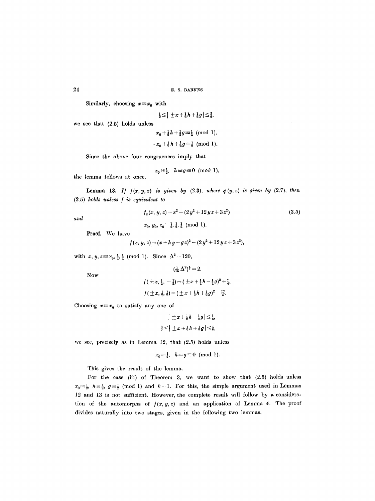$24$  E. S. BARNES

Similarly, choosing  $x=x_0$  with

$$
\frac{1}{2} \leq |\pm x + \frac{1}{2}h + \frac{1}{2}g| \leq \frac{3}{2},
$$

we see that (2.5) holds unless

$$
x_0 + \frac{1}{2}h + \frac{1}{2}g \equiv \frac{1}{2} \pmod{1},
$$
  

$$
-x_0 + \frac{1}{2}h + \frac{1}{2}g \equiv \frac{1}{2} \pmod{1}.
$$

Since the above four eongruenees imply that

$$
x_0 \equiv \frac{1}{2}, \quad h \equiv g \equiv 0 \pmod{1},
$$

the lemma follows at once.

**Lemma 13.** If  $f(x, y, z)$  is given by  $(2.3)$ , where  $\phi(y, z)$  is given by  $(2.7)$ , then (2.5) *holds unless / is equivalent to* 

$$
f_2(x, y, z) = x^2 - (2y^2 + 12yz + 3z^2)
$$
\n(3.5)

*and* 

$$
x_0, y_0, z_0 \equiv \frac{1}{2}, \frac{1}{2}, \frac{1}{2}
$$
 (mod 1).

Proof. We have

$$
f(x, y, z) = (x + h y + g z)^{2} - (2 y^{2} + 12 y z + 3 z^{2}),
$$

with  $x, y, z \equiv x_0, \frac{1}{2}, \frac{1}{2} \pmod{1}$ . Since  $\Delta^2 = 120$ ,

Now

$$
f(\pm x, \frac{1}{2}, -\frac{1}{2}) = (\pm x + \frac{1}{2}h - \frac{1}{2}g)^2 + \frac{2}{4},
$$
  

$$
f(\pm x, \frac{1}{2}, \frac{1}{2}) = (\pm x + \frac{1}{2}h + \frac{1}{2}g)^2 - \frac{17}{4}.
$$

 $(\frac{1}{15}\Delta^2)^{\frac{1}{3}} = 2.$ 

Choosing  $x \equiv x_0$  to satisfy any one of

$$
\left| \pm x + \frac{1}{2}h - \frac{1}{2}g \right| \leq \frac{1}{2},
$$
  

$$
\frac{3}{2} \leq \left| \pm x + \frac{1}{2}h + \frac{1}{2}g \right| \leq \frac{5}{2},
$$

we see, precisely as in Lemma 12, that (2.5) holds unless

$$
x_0 \equiv \frac{1}{2}, \quad h \equiv g \equiv 0 \pmod{1}.
$$

This gives the result of the lemma.

For the case (iii) of Theorem 3, we want to show that (2.5) holds unless  $x_0 \equiv \frac{1}{2}$ ,  $h \equiv \frac{1}{2}$ ,  $g \equiv \frac{1}{2}$  (mod 1) and  $k=1$ . For this, the simple argument used in Lemmas 12 and 13 is not sufficient. However, the complete result will follow by a consideration of the automorphs of  $f(x, y, z)$  and an application of Lemma 4. The proof divides naturally into two stages, given in the following two lemmas.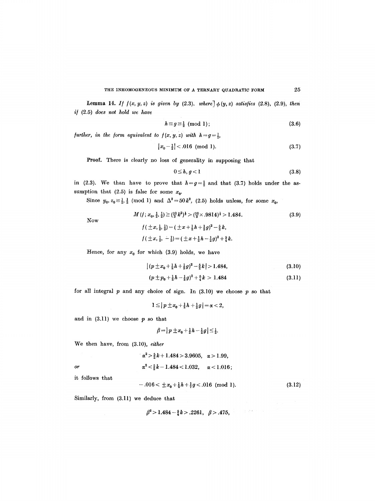**Lemma 14.** *If*  $f(x, y, z)$  *is given by* (2.3), *where*  $\phi(y, z)$  *satisfies* (2.8), (2.9), *then i/* (2.5) *does not hold we have* 

$$
h \equiv g \equiv \frac{1}{2} \pmod{1};\tag{3.6}
$$

*further, in the form equivalent to*  $f(x, y, z)$  *with*  $h = g = \frac{1}{2}$ *,* 

$$
|x_0 - \frac{1}{2}| < .016 \pmod{1}.\tag{3.7}
$$

Proof. There is clearly no loss of generality in supposing that

$$
0 \le h, g < 1 \tag{3.8}
$$

in (2.3). We than have to prove that  $h=g=\frac{1}{2}$  and that (3.7) holds under the assumption that (2.5) is false for some  $x_0$ .

Since  $y_0, z_0 = \frac{1}{2}, \frac{1}{2} \pmod{1}$  and  $\Delta^2 = 50k^2$ , (2.5) holds unless, for some  $x_0$ ,

Now

$$
M(f; x_0, \frac{1}{2}, \frac{1}{2}) \ge (\frac{10}{3}k^2)^{\frac{1}{3}} > (\frac{10}{3} \times .9814)^{\frac{1}{3}} > 1.484.
$$
\n
$$
f(\pm x, \frac{1}{2}, \frac{1}{2}) = (\pm x + \frac{1}{2}h + \frac{1}{2}g)^2 - \frac{5}{2}k,
$$
\n
$$
f(\pm x, \frac{1}{2}, -\frac{1}{2}) = (\pm x + \frac{1}{2}h - \frac{1}{2}g)^2 + \frac{5}{4}k.
$$
\n
$$
(3.9)
$$

Hence, for any  $x_0$  for which (3.9) holds, we have

$$
\left| (p \pm x_0 + \frac{1}{2}h + \frac{1}{2}g)^2 - \frac{5}{2}k \right| > 1.484, \tag{3.10}
$$

$$
(p \pm p_0 + \frac{1}{2}h - \frac{1}{2}g)^2 + \frac{5}{4}k > 1.484 \tag{3.11}
$$

for all integral  $p$  and any choice of sign. In (3.10) we choose  $p$  so that

$$
1\leq |p\pm x_0+\tfrac{1}{2}h+\tfrac{1}{2}g|=\alpha<2,
$$

and in  $(3.11)$  we choose  $p$  so that

$$
\beta = |p \pm x_0 + \frac{1}{2}h - \frac{1}{2}g| \leq \frac{1}{2}.
$$

We then have, from (3.10), *either* 

$$
\alpha^2 > \frac{5}{2}k + 1.484 > 3.9605, \alpha > 1.99,
$$
  
or  

$$
\alpha^2 < \frac{5}{2}k - 1.484 < 1.032, \alpha < 1.016;
$$

it follows that

$$
-.016<\pm x_0+\tfrac{1}{2}h+\tfrac{1}{7}g<.016\text{ (mod 1)}.
$$
 (3.12)

Similarly, from (3.11) we deduce that

 $\beta^2 > 1.484 - \frac{5}{4}k > .2261, \beta > .475,$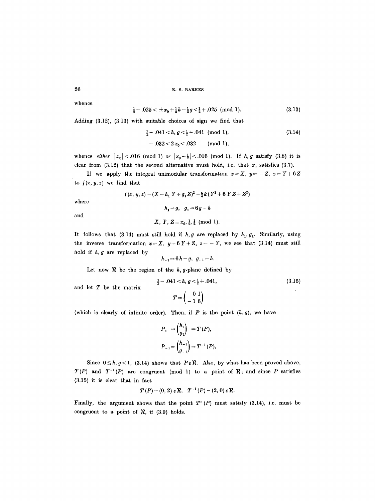26 E.s. BARNES

whence

$$
\frac{1}{2} - .025 < \pm x_0 + \frac{1}{2}h - \frac{1}{2}g < \frac{1}{2} + .025 \pmod{1}. \tag{3.13}
$$

Adding (3.12), (3.13) with suitable choices of sign we find that

$$
\frac{1}{2} - .041 < h, g < \frac{1}{2} + .041 \pmod{1},\tag{3.14}
$$
\n
$$
-.032 < 2x_0 < .032 \qquad \text{(mod 1)},
$$

whence *either*  $|x_0| < .016$  (mod 1) *or*  $|x_0 - \frac{1}{2}| < .016$  (mod 1). If *h*, *g* satisfy (3.8) it is clear from (3.12) that the second alternative must hold, i.e. that  $x_0$  satisfies (3.7).

If we apply the integral unimodular transformation  $x = X$ ,  $y = -Z$ ,  $z = Y + 6Z$ to  $f(x, y, z)$  we find that

$$
f(x, y, z) = (X + h_1 Y + g_1 Z)^2 - \frac{5}{4} k (Y^2 + 6 Y Z + Z^2)
$$

where

and

$$
f_{\rm{max}}
$$

*X*, *Y*,  $Z \equiv x_0, \frac{1}{2}, \frac{1}{2} \pmod{1}$ .

 $h_1 = g, \quad g_1 = 6g - h$ 

It follows that (3.14) must still hold if  $h, g$  are replaced by  $h_1, g_1$ . Similarly, using the inverse transformation  $x=X$ ,  $y=6Y+Z$ ,  $z=-Y$ , we see that (3.14) must still hold if  $h, g$  are replaced by

$$
h_{-1}=6h-g, g_{-1}=h.
$$

Let now  $R$  be the region of the  $h$ , g-plane defined by

and let  $T$  be the matrix

$$
\frac{1}{2} - .041 < h, g < \frac{1}{2} + .041,
$$
\n
$$
T = \begin{pmatrix} 0 & 1 \\ -1 & 6 \end{pmatrix} \tag{3.15}
$$

(which is clearly of infinite order). Then, if  $P$  is the point  $(h, g)$ , we have

$$
P_1 = \binom{h_1}{g_1} = T(P),
$$
  

$$
P_{-1} = \binom{h_{-1}}{g_{-1}} = T^{-1}(P),
$$

Since  $0 \le h, g < 1$ , (3.14) shows that  $P \in \mathcal{R}$ . Also, by what has been proved above,  $T(P)$  and  $T^{-1}(P)$  are congruent (mod 1) to a point of R; and since P satisfies (3.15) it is clear that in fact

$$
T(P)-(0, 2) \varepsilon R, T^{-1}(P)-(2, 0) \varepsilon R.
$$

Finally, the argument shows that the point  $T^n(P)$  must satisfy (3.14), i.e. must be congruent to a point of  $\mathcal{R}$ , if (3.9) holds.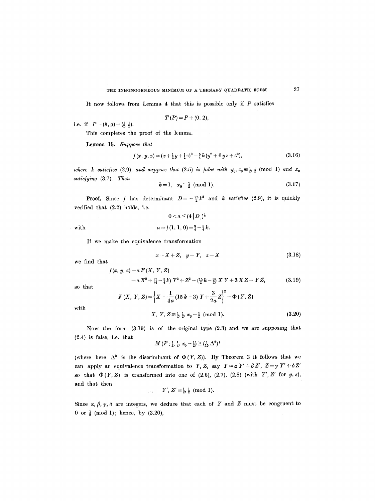# THE INHOMOGENEOUS MINIMUM OF A TERNARY QUADRATIC FORM  $27$

It now follows from Lemma 4 that this is possible only if  $P$  satisfies

$$
T(P) = P + (0, 2),
$$

i.e. if  $P = (h, g) = (\frac{1}{2}, \frac{1}{2}).$ 

This completes the proof of the lemma.

Lemma 15. *Suppose that* 

$$
f(x, y, z) = (x + \frac{1}{2}y + \frac{1}{2}z)^2 - \frac{5}{4}k(y^2 + 6yz + z^2),
$$
\n(3.16)

 $\sim 10$ 

*where k satisfies* (2.9), and suppose that (2.5) is false with  $y_0$ ,  $z_0 \equiv \frac{1}{2}$ ,  $\frac{1}{2}$  (mod 1) and  $x_0$ *satis/ying* (3.7). *Then* 

$$
k=1, x_0 \equiv \frac{1}{2} \pmod{1}.
$$
 (3.17)

**Proof.** Since f has determinant  $D=-\frac{25}{2}k^2$  and k satisfies (2.9), it is quickly verified that (2.2) holds, i.e.

$$
0 < a \le (4 | D |)^{\frac{1}{3}}
$$
  
with  

$$
a = f(1, 1, 0) = \frac{9}{4} - \frac{5}{4} k.
$$

If we make the equivalence transformation

$$
x = X + Z, \quad y = Y, \quad z = X \tag{3.18}
$$

we find that

$$
f(x, y, z) = a F(X, Y, Z)
$$
  
=  $a X^2 + (\frac{1}{4} - \frac{5}{4}k) Y^2 + Z^2 - (\frac{15}{2}k - \frac{3}{2}) XY + 3XZ + YZ,$  (3.19)

so that

$$
F(X, Y, Z) = \left\{ X - \frac{1}{4a} (15 k - 3) Y + \frac{3}{2a} Z \right\}^2 - \Phi(Y, Z)
$$

with

$$
X, Y, Z = \frac{1}{2}, \frac{1}{2}, x_0 - \frac{1}{2} \pmod{1}.
$$
 (3.20)

Now the form (3.19) is of the original type (2.3) and we are supposing that (2.4) is false, i.e. that

*M*  $(F; \frac{1}{2}, \frac{1}{2}, x_0-\frac{1}{2}) \geq (\frac{1}{15} \Delta^2)^{\frac{1}{3}}$ 

(where here  $\Delta^2$  is the discriminant of  $\Phi(Y, Z)$ ). By Theorem 3 it follows that we can apply an equivalence transformation to *Y*, *Z*, say  $Y = \alpha Y' + \beta Z'$ ,  $Z = \gamma Y' + \delta Z'$ so that  $\Phi(Y, Z)$  is transformed into one of (2.6), (2.7), (2.8) (with Y', Z' for y, z), and that then

$$
Y',\,Z'\,{\equiv}\tfrac{1}{2},\tfrac{1}{2}\pmod 1.
$$

Since  $\alpha$ ,  $\beta$ ,  $\gamma$ ,  $\delta$  are integers, we deduce that each of Y and Z must be congruent to 0 or  $\frac{1}{2}$  (mod 1); hence, by (3.20),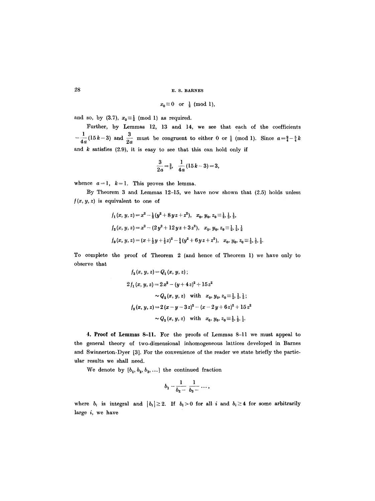## 28 E.S. BARNES

$$
x_0 \equiv 0 \quad \text{or} \quad \frac{1}{2} \pmod{1},
$$

and so, by (3.7),  $x_0 \equiv \frac{1}{2} \pmod{1}$  as required.

Further, by Lemmas 12, 13 and 14, we see that each of the coefficients  $-\frac{1}{4a}(15k-3)$  and  $\frac{3}{2a}$  must be congruent to either 0 or  $\frac{1}{2}$  (mod 1). Since  $a=\frac{9}{4}-\frac{5}{4}k$ and  $k$  satisfies (2.9), it is easy to see that this can hold only if

$$
\frac{3}{2a}=\frac{3}{2}, \quad \frac{1}{4a}(15k-3)=3,
$$

whence  $a=1$ ,  $k=1$ . This proves the lemma.

By Theorem 3 and Lemmas 12-15, we have now shown that (2.5) holds unless  $f(x, y, z)$  is equivalent to one of

$$
f_1(x, y, z) = x^2 - \frac{1}{2}(y^2 + 8yz + z^2), \quad x_0, y_0, z_0 \equiv \frac{1}{2}, \frac{1}{2}, \frac{1}{2},
$$
  

$$
f_2(x, y, z) = x^2 - (2y^2 + 12yz + 3z^2), \quad x_0, y_0, z_0 \equiv \frac{1}{2}, \frac{1}{2}, \frac{1}{2},
$$
  

$$
f_3(x, y, z) = (x + \frac{1}{2}y + \frac{1}{2}z)^2 - \frac{5}{4}(y^2 + 6yz + z^2), \quad x_0, y_0, z_0 \equiv \frac{1}{2}, \frac{1}{2}, \frac{1}{2}.
$$

To complete the proof of Theorem 2 (and hence of Theorem 1) we have only to observe that

$$
f_3(x, y, z) = Q_1(x, y, z);
$$
  
\n
$$
2f_1(x, y, z) = 2x^2 - (y + 4z)^2 + 15z^2
$$
  
\n
$$
\sim Q_2(x, y, z) \quad \text{with} \quad x_0, y_0, z_0 \equiv \frac{1}{2}, \frac{1}{2}, \frac{1}{2};
$$
  
\n
$$
f_2(x, y, z) = 2(x - y - 3z)^2 - (x - 2y + 6z)^2 + 15z^2
$$
  
\n
$$
\sim Q_2(x, y, z) \quad \text{with} \quad x_0, y_0, z_0 \equiv \frac{1}{2}, \frac{1}{2}, \frac{1}{2}.
$$

**4. Proo~ of Lemmas** 8-11. For the proofs of Lemmas 8-11 we must appeal to the general theory of two-dimensional inhomogeneous lattices developed in Barnes and Swinnerton-I)yer [3]. For the convenience of the reader we state briefly the particular results we shall need.

We denote by  $[b_1, b_2, b_3, \ldots]$  the continued fraction

$$
b_1-\frac{1}{b_2-\frac{1}{b_3-\cdots},
$$

where  $b_i$  is integral and  $|b_i| \geq 2$ . If  $b_i > 0$  for all i and  $b_i \geq 4$  for some arbitrarily large i, we have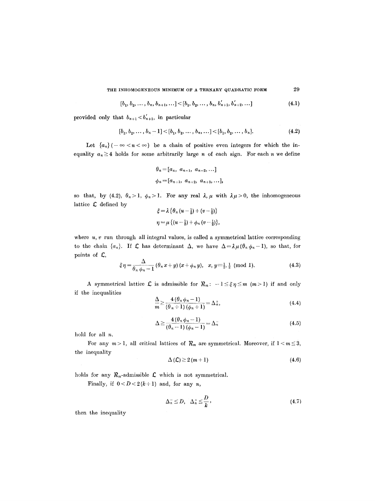THE INHOMOGENEOUS MINIMUM OF A TERNARY QUADRATIC FORM 29

$$
[b_1, b_2, \ldots, b_n, b_{n+1}, \ldots] < [b_1, b_2, \ldots, b_n, b'_{n+1}, b'_{n+2}, \ldots]
$$
\n(4.1)

provided only that  $b_{n+1} < b'_{n+1}$ , in particular

$$
[b_1, b_2, \ldots, b_n - 1] < [b_1, b_2, \ldots, b_n, \ldots] < [b_1, b_2, \ldots, b_n]. \tag{4.2}
$$

Let  ${a_n}(-\infty < n < \infty)$  be a chain of positive even integers for which the inequality  $a_n \geq 4$  holds for some arbitrarily large n of each sign. For each n we define

$$
\theta_n = [a_n, a_{n-1}, a_{n-2}, \dots]
$$
  

$$
\phi_n = [a_{n+1}, a_{n+2}, a_{n+3}, \dots],
$$

so that, by (4.2),  $\theta_n > 1$ ,  $\phi_n > 1$ . For any real  $\lambda, \mu$  with  $\lambda \mu > 0$ , the inhomogeneous lattice  $\boldsymbol{\mathcal{L}}$  defined by

$$
\xi = \lambda \left\{ \theta_n \left( u - \frac{1}{2} \right) + \left( v - \frac{1}{2} \right) \right\}
$$
  

$$
\eta = \mu \left\{ \left( u - \frac{1}{2} \right) + \phi_n \left( v - \frac{1}{2} \right) \right\},\
$$

where  $u, v$  run through all integral values, is called a symmetrical lattice corresponding to the chain  $\{a_n\}$ . If  $\mathcal L$  has determinant  $\Delta$ , we have  $\Delta = \lambda \mu (\theta_n \phi_n - 1)$ , so that, for points of  $\mathcal{L}$ ,

$$
\xi \eta = \frac{\Delta}{\theta_n \phi_n - 1} \left( \theta_n x + y \right) (x + \phi_n y), \quad x, y \equiv \frac{1}{2}, \frac{1}{2} \pmod{1}. \tag{4.3}
$$

A symmetrical lattice  $\mathcal L$  is admissible for  $\mathcal R_m$ :  $-1 \leq \xi \eta \leq m$  (m>1) if and only if the inequalities

$$
\frac{\Delta}{m} \ge \frac{4(\theta_n \phi_n - 1)}{(\theta_n + 1)(\phi_n + 1)} = \Delta_n^+, \tag{4.4}
$$

$$
\Delta \ge \frac{4(\theta_n \phi_n - 1)}{(\theta_n - 1)(\phi_n - 1)} = \Delta_n^- \tag{4.5}
$$

hold for all n.

For any  $m > 1$ , all critical lattices of  $R_m$  are symmetrical. Moreover, if  $1 < m \leq 3$ , the inequality

$$
\Delta\left(\mathcal{L}\right) \geq 2\left(m+1\right) \tag{4.6}
$$

holds for any  $R_m$ -admissible  $\mathcal L$  which is not symmetrical.

Finally, if  $0 < D < 2(k+1)$  and, for any n,

$$
\Delta_n^- \le D, \quad \Delta_n^+ \le \frac{D}{k}, \tag{4.7}
$$

then the inequality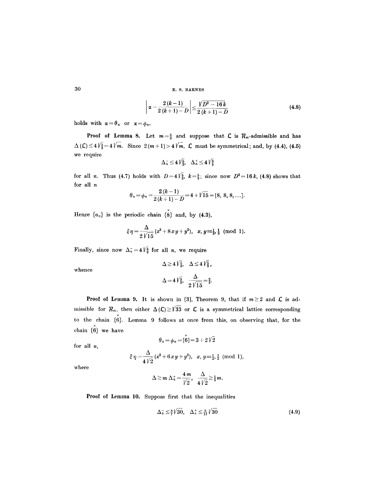**30 E.s. BARNES** 

$$
\left|\alpha - \frac{2(k-1)}{2(k+1)-D}\right| \leq \frac{\sqrt{D^2 - 16k}}{2(k+1)-D}
$$
\n(4.8)

holds with  $\alpha = \theta_n$  or  $\alpha = \phi_n$ .

**Proof of Lemma 8.** Let  $m=\frac{5}{3}$  and suppose that  $\mathcal{L}$  is  $\mathcal{R}_m$ -admissible and has  $\Delta (\mathcal{L}) \leq 4 \sqrt{\frac{5}{3}} = 4 \sqrt{m}$ . Since  $2(m+1) > 4 \sqrt{m}$ ,  $\mathcal{L}$  must be symmetrical; and, by (4.4), (4.5) we require

$$
\Delta_n^- \le 4\sqrt{\frac{5}{3}}, \quad \Delta_n^+ \le 4\sqrt{\frac{3}{5}}
$$

for all n. Thus (4.7) holds with  $D=4\,\mathrm{\frac{1}{3}},\ k=\frac{5}{3}$ ; since now  $D^2=16\,k$ , (4.8) shows that for all n

$$
\theta_n = \phi_n = \frac{2(k-1)}{2(k+1)-D} = 4 + \sqrt{15} = [8, 8, 8, \ldots].
$$

Hence  $\{a_n\}$  is the periodic chain  $\{\stackrel{x}{\bf 8}\}$  and, by (4.3),

$$
\xi \eta = \frac{\Delta}{2\sqrt{15}} (x^2 + 8xy + y^2), \quad x, y = \frac{1}{2}, \frac{1}{2} \pmod{1}.
$$

Finally, since now  $\Delta_n^- = 4\sqrt{\frac{5}{3}}$  for all *n*, we require

 $\Delta \geq 4\sqrt{\frac{5}{3}}, \quad \Delta \leq 4\sqrt{\frac{5}{3}},$  $\Delta = 4\sqrt{\frac{5}{3}}, \frac{\Delta}{2\sqrt{15}} = \frac{2}{3}.$ 

whence

**Proof of Lemma 9.** It is shown in [3], Theorem 9, that if  $m \ge 2$  and  $\mathcal{L}$  is admissible for  $R_m$ , then either  $\Delta (\mathcal{L}) \geq \sqrt{33}$  or  $\mathcal L$  is a symmetrical lattice corresponding to the chain  $\{\stackrel{x}{6}\}$ . Lemma 9 follows at once from this, on observing that, for the chain  $\{\stackrel{x}{6}\}$  we have  $\theta_n = \phi_n = [\overset{\times}{6}]{=} 3 + 2 \sqrt{2}$ 

for all *n,* 

$$
\xi\,\eta\!=\!\frac{\Delta}{4\,\sqrt{2}}\,(x^2\!+6\,x\,y\!+y^2),\ \ x,\,y\!\equiv_{\frac{1}{2},\,\frac{1}{2}} \pmod{1},
$$

where

$$
\Delta \geq m \Delta_n^+ = \frac{4m}{\sqrt{2}}, \quad \frac{\Delta}{4\sqrt{2}} \geq \frac{1}{2}m.
$$

Proof of Lemma 10. Suppose first that the inequalities

$$
\Delta_n^- \leq \frac{8}{7} \sqrt{30}, \quad \Delta_n^+ \leq \frac{8}{17} \sqrt{30} \tag{4.9}
$$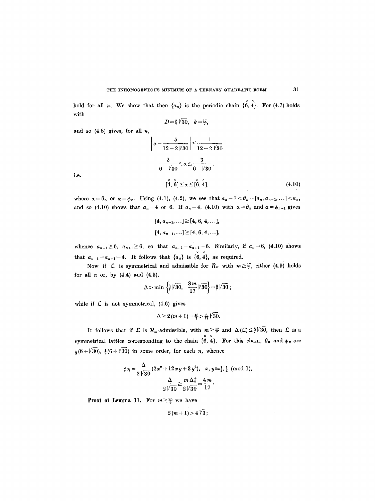hold for all *n*. We show that then  $\{a_n\}$  is the periodic chain  $\{\stackrel{\sim}{6},\stackrel{\sim}{4}\}$ . For (4.7) holds with

$$
D = \frac{8}{7} \sqrt{30}, k = \frac{17}{7},
$$

and so  $(4.8)$  gives, for all  $n$ ,

$$
\left| \alpha - \frac{5}{12 - 2\sqrt{30}} \right| \le \frac{1}{12 - 2\sqrt{30}}
$$
  

$$
\frac{2}{6 - \sqrt{30}} \le \alpha \le \frac{3}{6 - \sqrt{30}},
$$
  

$$
[\mathring{4}, \mathring{6}] \le \alpha \le [\mathring{6}, \mathring{4}],
$$
 (4.10)

i.e.

where  $\alpha = \theta_n$  or  $\alpha = \phi_n$ . Using (4.1), (4.2), we see that  $a_n-1 < \theta_n = [a_n, a_{n-1}, \ldots] < a_n$ , and so (4.10) shows that  $a_n=4$  or 6. If  $a_n=4$ , (4.10) with  $\alpha=\theta_n$  and  $\alpha=\phi_{n-1}$  gives

$$
[4, a_{n-1}, \ldots] \geq [4, 6, 4, \ldots],
$$
  

$$
[4, a_{n+1}, \ldots] \geq [4, 6, 4, \ldots],
$$

whence  $a_{n-1}\geq 6$ ,  $a_{n+1}\geq 6$ , so that  $a_{n-1}=a_{n+1}=6$ . Similarly, if  $a_n=6$ , (4.10) shows that  $a_{n-1}=a_{n+1}=4$ . It follows that  $\{a_n\}$  is  $\{\stackrel{\times}{6},\stackrel{\times}{4}\}$ , as required.

Now if C is symmetrical and admissible for  $R_m$  with  $m \ge \frac{17}{7}$ , either (4.9) holds for all  $n$  or, by  $(4.4)$  and  $(4.5)$ ,

$$
\Delta > \min \left\{ \frac{8}{7} \sqrt{30}, \frac{8m}{17} \sqrt{30} \right\} = \frac{8}{7} \sqrt{30} ;
$$

while if  $C$  is not symmetrical, (4.6) gives

$$
\Delta \geq 2(m+1) = \frac{48}{7} > \frac{8}{17} \sqrt{30}
$$

It follows that if  $\mathcal L$  is  $\mathcal R_m$ -admissible, with  $m\geq \frac{17}{7}$  and  $\Delta(\mathcal L)\leq \frac{8}{7}\sqrt{30}$ , then  $\mathcal L$  is a symmetrical lattice corresponding to the chain  $\{ \overset{\times}{6}, \overset{\times}{4} \}$ . For this chain,  $\theta_n$  and  $\phi_n$  are  $\frac{1}{3}(6 + \sqrt{30})$ ,  $\frac{1}{2}(6 + \sqrt{30})$  in some order, for each *n*, whence

$$
\xi \eta = \frac{\Delta}{2\sqrt{30}} (2x^2 + 12xy + 3y^2), \quad x, y = \frac{1}{2}, \frac{1}{2} \pmod{1},
$$

$$
\frac{\Delta}{2\sqrt{30}} \ge \frac{m \Delta_n^+}{2\sqrt{30}} = \frac{4m}{17}.
$$

**Proof of Lemma 11.** For  $m \geq \frac{26}{9}$  we have

 $2(m+1) > 4\sqrt{3}$ ;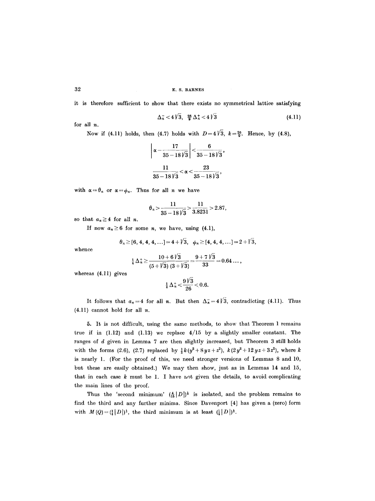it is therefore sufficient to show that there exists no symmetrical lattice satisfying

$$
\Delta_n^- < 4\sqrt{3}, \ \ \frac{26}{9}\Delta_n^+ < 4\sqrt{3} \tag{4.11}
$$

for all n.

Now if (4.11) holds, then (4.7) holds with  $D=4\sqrt{3}$ ,  $k=\frac{26}{9}$ . Hence, by (4.8),

$$
\left|\frac{\alpha-\frac{17}{35-18\sqrt{3}}}{25-18\sqrt{3}}\right|<\frac{6}{35-18\sqrt{3}},
$$
  

$$
\frac{11}{35-18\sqrt{3}}<\alpha<\frac{23}{35-18\sqrt{3}},
$$

with  $\alpha = \theta_n$  or  $\alpha = \phi_n$ . Thus for all *n* we have

$$
\theta_n > \frac{11}{35 - 18\sqrt{3}} > \frac{11}{3.8231} > 2.87,
$$

so that  $a_n \geq 4$  for all *n*.

If now  $a_n \geq 6$  for some n, we have, using (4.1),

$$
\theta_n \geq [6, 4, 4, 4, \ldots] = 4 + \sqrt{3}, \phi_n \geq [4, 4, 4, \ldots] = 2 + \sqrt{3},
$$

whence

$$
\frac{1}{4}\,\Delta_n^+ \ge \frac{10+6\,\sqrt{3}}{(5+\sqrt{3})\,(3+\sqrt{3})} = \frac{9+7\,\sqrt{3}}{33} = 0.64\ldots,
$$

whereas (4.11) gives

$$
\frac{1}{4}\,\Delta_n^+ < \frac{9\,\sqrt{3}}{26} < 0.6.
$$

It follows that  $a_n=4$  for all n. But then  $\Delta_n^- = 4\sqrt{3}$ , contradicting (4.11). Thus  $(4.11)$  cannot hold for all n.

5. It is not difficult, using the same methods, to show that Theorem 1 remains true if in  $(1.12)$  and  $(1.13)$  we replace  $4/15$  by a slightly smaller constant. The ranges of d given in Lemma 7 are then slightly increased, but Theorem 3 still holds with the forms (2.6), (2.7) replaced by  $\frac{1}{2}k(y^2 + 8yz + z^2)$ ,  $k(2y^2 + 12yz + 3z^2)$ , where k is nearly 1. (For the proof of this, we need stronger versions of Lemmas 8 and 10, but these are easily obtained.) We may then show, just as in Lemmas 14 and 15, that in each case  $k$  must be 1. I have not given the details, to avoid complicating the main lines of the proof.

Thus the 'second minimum'  $(\frac{4}{15}|D|)^{\frac{1}{3}}$  is isolated, and the problem remains to find the third and any further minima. Since Davenport [4] has given a (zero) form with  $M(Q)=(\frac{1}{4}|D|)^{\frac{1}{3}}$ , the third minimum is at least  $(\frac{1}{4}|D|)^{\frac{1}{3}}$ .